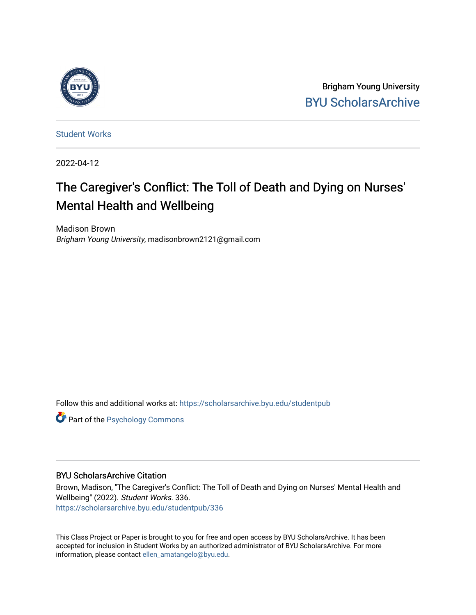

Brigham Young University [BYU ScholarsArchive](https://scholarsarchive.byu.edu/) 

[Student Works](https://scholarsarchive.byu.edu/studentpub)

2022-04-12

# The Caregiver's Conflict: The Toll of Death and Dying on Nurses' Mental Health and Wellbeing

Madison Brown Brigham Young University, madisonbrown2121@gmail.com

Follow this and additional works at: [https://scholarsarchive.byu.edu/studentpub](https://scholarsarchive.byu.edu/studentpub?utm_source=scholarsarchive.byu.edu%2Fstudentpub%2F336&utm_medium=PDF&utm_campaign=PDFCoverPages)

**Part of the Psychology Commons** 

## BYU ScholarsArchive Citation

Brown, Madison, "The Caregiver's Conflict: The Toll of Death and Dying on Nurses' Mental Health and Wellbeing" (2022). Student Works. 336. [https://scholarsarchive.byu.edu/studentpub/336](https://scholarsarchive.byu.edu/studentpub/336?utm_source=scholarsarchive.byu.edu%2Fstudentpub%2F336&utm_medium=PDF&utm_campaign=PDFCoverPages)

This Class Project or Paper is brought to you for free and open access by BYU ScholarsArchive. It has been accepted for inclusion in Student Works by an authorized administrator of BYU ScholarsArchive. For more information, please contact [ellen\\_amatangelo@byu.edu.](mailto:ellen_amatangelo@byu.edu)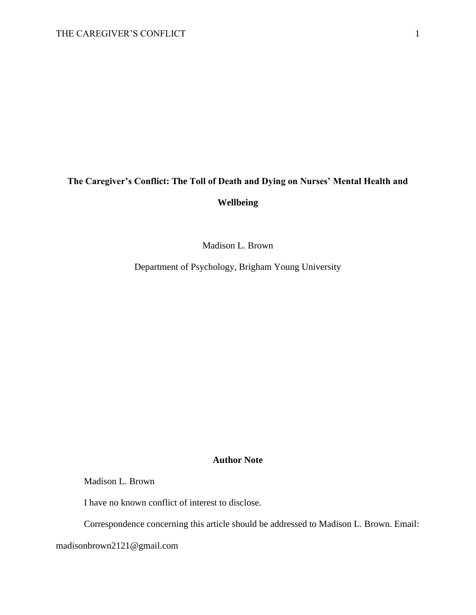# **The Caregiver's Conflict: The Toll of Death and Dying on Nurses' Mental Health and Wellbeing**

Madison L. Brown

Department of Psychology, Brigham Young University

## **Author Note**

Madison L. Brown

I have no known conflict of interest to disclose.

Correspondence concerning this article should be addressed to Madison L. Brown. Email:

madisonbrown2121@gmail.com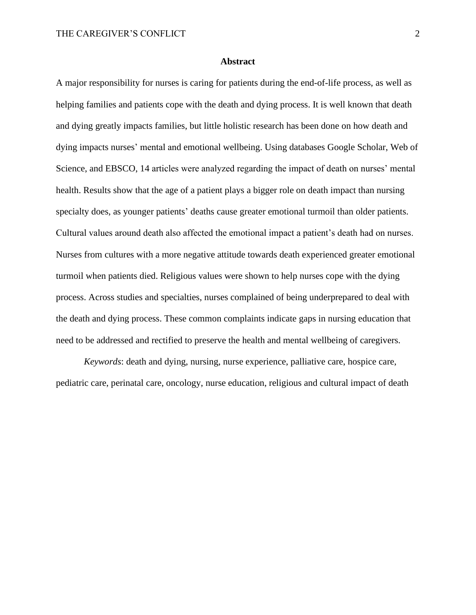## **Abstract**

A major responsibility for nurses is caring for patients during the end-of-life process, as well as helping families and patients cope with the death and dying process. It is well known that death and dying greatly impacts families, but little holistic research has been done on how death and dying impacts nurses' mental and emotional wellbeing. Using databases Google Scholar, Web of Science, and EBSCO, 14 articles were analyzed regarding the impact of death on nurses' mental health. Results show that the age of a patient plays a bigger role on death impact than nursing specialty does, as younger patients' deaths cause greater emotional turmoil than older patients. Cultural values around death also affected the emotional impact a patient's death had on nurses. Nurses from cultures with a more negative attitude towards death experienced greater emotional turmoil when patients died. Religious values were shown to help nurses cope with the dying process. Across studies and specialties, nurses complained of being underprepared to deal with the death and dying process. These common complaints indicate gaps in nursing education that need to be addressed and rectified to preserve the health and mental wellbeing of caregivers.

*Keywords*: death and dying, nursing, nurse experience, palliative care, hospice care, pediatric care, perinatal care, oncology, nurse education, religious and cultural impact of death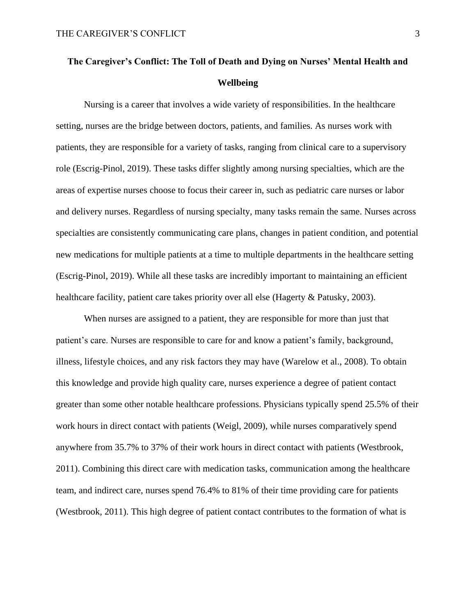## **The Caregiver's Conflict: The Toll of Death and Dying on Nurses' Mental Health and Wellbeing**

Nursing is a career that involves a wide variety of responsibilities. In the healthcare setting, nurses are the bridge between doctors, patients, and families. As nurses work with patients, they are responsible for a variety of tasks, ranging from clinical care to a supervisory role (Escrig-Pinol, 2019). These tasks differ slightly among nursing specialties, which are the areas of expertise nurses choose to focus their career in, such as pediatric care nurses or labor and delivery nurses. Regardless of nursing specialty, many tasks remain the same. Nurses across specialties are consistently communicating care plans, changes in patient condition, and potential new medications for multiple patients at a time to multiple departments in the healthcare setting (Escrig-Pinol, 2019). While all these tasks are incredibly important to maintaining an efficient healthcare facility, patient care takes priority over all else (Hagerty & Patusky, 2003).

When nurses are assigned to a patient, they are responsible for more than just that patient's care. Nurses are responsible to care for and know a patient's family, background, illness, lifestyle choices, and any risk factors they may have (Warelow et al., 2008). To obtain this knowledge and provide high quality care, nurses experience a degree of patient contact greater than some other notable healthcare professions. Physicians typically spend 25.5% of their work hours in direct contact with patients (Weigl, 2009), while nurses comparatively spend anywhere from 35.7% to 37% of their work hours in direct contact with patients (Westbrook, 2011). Combining this direct care with medication tasks, communication among the healthcare team, and indirect care, nurses spend 76.4% to 81% of their time providing care for patients (Westbrook, 2011). This high degree of patient contact contributes to the formation of what is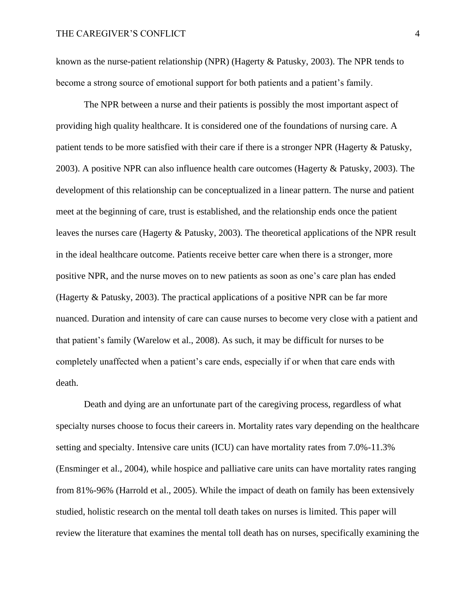known as the nurse-patient relationship (NPR) (Hagerty & Patusky, 2003). The NPR tends to become a strong source of emotional support for both patients and a patient's family.

The NPR between a nurse and their patients is possibly the most important aspect of providing high quality healthcare. It is considered one of the foundations of nursing care. A patient tends to be more satisfied with their care if there is a stronger NPR (Hagerty & Patusky, 2003). A positive NPR can also influence health care outcomes (Hagerty & Patusky, 2003). The development of this relationship can be conceptualized in a linear pattern. The nurse and patient meet at the beginning of care, trust is established, and the relationship ends once the patient leaves the nurses care (Hagerty & Patusky, 2003). The theoretical applications of the NPR result in the ideal healthcare outcome. Patients receive better care when there is a stronger, more positive NPR, and the nurse moves on to new patients as soon as one's care plan has ended (Hagerty & Patusky, 2003). The practical applications of a positive NPR can be far more nuanced. Duration and intensity of care can cause nurses to become very close with a patient and that patient's family (Warelow et al., 2008). As such, it may be difficult for nurses to be completely unaffected when a patient's care ends, especially if or when that care ends with death.

Death and dying are an unfortunate part of the caregiving process, regardless of what specialty nurses choose to focus their careers in. Mortality rates vary depending on the healthcare setting and specialty. Intensive care units (ICU) can have mortality rates from 7.0%-11.3% (Ensminger et al., 2004), while hospice and palliative care units can have mortality rates ranging from 81%-96% (Harrold et al., 2005). While the impact of death on family has been extensively studied, holistic research on the mental toll death takes on nurses is limited. This paper will review the literature that examines the mental toll death has on nurses, specifically examining the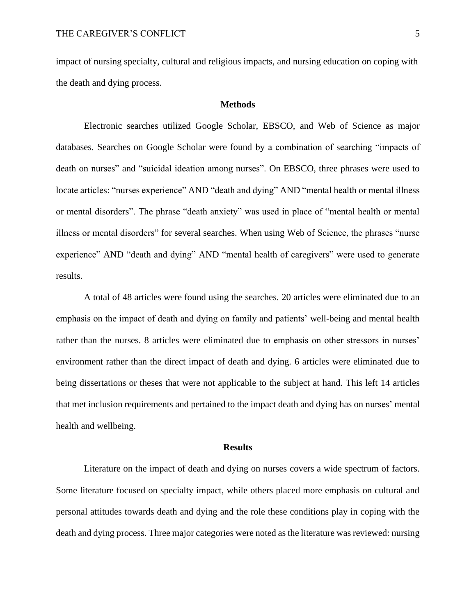impact of nursing specialty, cultural and religious impacts, and nursing education on coping with the death and dying process.

## **Methods**

Electronic searches utilized Google Scholar, EBSCO, and Web of Science as major databases. Searches on Google Scholar were found by a combination of searching "impacts of death on nurses" and "suicidal ideation among nurses". On EBSCO, three phrases were used to locate articles: "nurses experience" AND "death and dying" AND "mental health or mental illness or mental disorders". The phrase "death anxiety" was used in place of "mental health or mental illness or mental disorders" for several searches. When using Web of Science, the phrases "nurse experience" AND "death and dying" AND "mental health of caregivers" were used to generate results.

A total of 48 articles were found using the searches. 20 articles were eliminated due to an emphasis on the impact of death and dying on family and patients' well-being and mental health rather than the nurses. 8 articles were eliminated due to emphasis on other stressors in nurses' environment rather than the direct impact of death and dying. 6 articles were eliminated due to being dissertations or theses that were not applicable to the subject at hand. This left 14 articles that met inclusion requirements and pertained to the impact death and dying has on nurses' mental health and wellbeing.

### **Results**

Literature on the impact of death and dying on nurses covers a wide spectrum of factors. Some literature focused on specialty impact, while others placed more emphasis on cultural and personal attitudes towards death and dying and the role these conditions play in coping with the death and dying process. Three major categories were noted as the literature was reviewed: nursing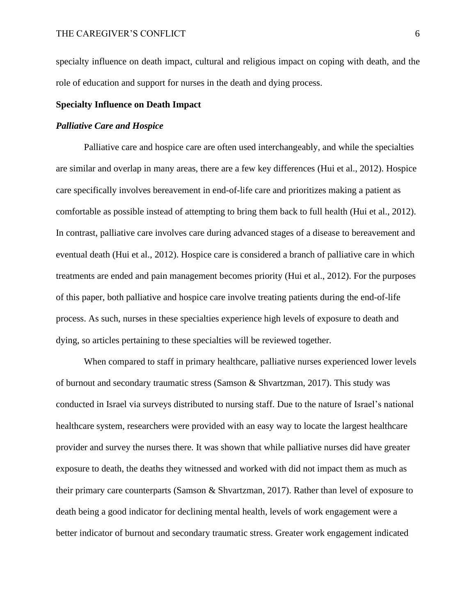specialty influence on death impact, cultural and religious impact on coping with death, and the role of education and support for nurses in the death and dying process.

## **Specialty Influence on Death Impact**

## *Palliative Care and Hospice*

Palliative care and hospice care are often used interchangeably, and while the specialties are similar and overlap in many areas, there are a few key differences (Hui et al., 2012). Hospice care specifically involves bereavement in end-of-life care and prioritizes making a patient as comfortable as possible instead of attempting to bring them back to full health (Hui et al., 2012). In contrast, palliative care involves care during advanced stages of a disease to bereavement and eventual death (Hui et al., 2012). Hospice care is considered a branch of palliative care in which treatments are ended and pain management becomes priority (Hui et al., 2012). For the purposes of this paper, both palliative and hospice care involve treating patients during the end-of-life process. As such, nurses in these specialties experience high levels of exposure to death and dying, so articles pertaining to these specialties will be reviewed together.

When compared to staff in primary healthcare, palliative nurses experienced lower levels of burnout and secondary traumatic stress (Samson & Shvartzman, 2017). This study was conducted in Israel via surveys distributed to nursing staff. Due to the nature of Israel's national healthcare system, researchers were provided with an easy way to locate the largest healthcare provider and survey the nurses there. It was shown that while palliative nurses did have greater exposure to death, the deaths they witnessed and worked with did not impact them as much as their primary care counterparts (Samson & Shvartzman, 2017). Rather than level of exposure to death being a good indicator for declining mental health, levels of work engagement were a better indicator of burnout and secondary traumatic stress. Greater work engagement indicated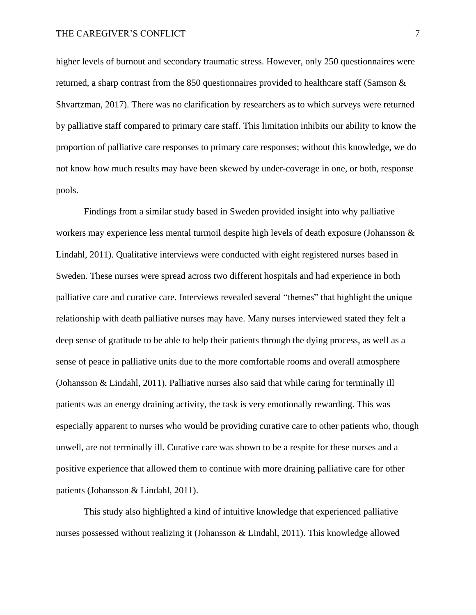higher levels of burnout and secondary traumatic stress. However, only 250 questionnaires were returned, a sharp contrast from the 850 questionnaires provided to healthcare staff (Samson  $\&$ Shvartzman, 2017). There was no clarification by researchers as to which surveys were returned by palliative staff compared to primary care staff. This limitation inhibits our ability to know the proportion of palliative care responses to primary care responses; without this knowledge, we do not know how much results may have been skewed by under-coverage in one, or both, response pools.

Findings from a similar study based in Sweden provided insight into why palliative workers may experience less mental turmoil despite high levels of death exposure (Johansson & Lindahl, 2011). Qualitative interviews were conducted with eight registered nurses based in Sweden. These nurses were spread across two different hospitals and had experience in both palliative care and curative care. Interviews revealed several "themes" that highlight the unique relationship with death palliative nurses may have. Many nurses interviewed stated they felt a deep sense of gratitude to be able to help their patients through the dying process, as well as a sense of peace in palliative units due to the more comfortable rooms and overall atmosphere (Johansson & Lindahl, 2011). Palliative nurses also said that while caring for terminally ill patients was an energy draining activity, the task is very emotionally rewarding. This was especially apparent to nurses who would be providing curative care to other patients who, though unwell, are not terminally ill. Curative care was shown to be a respite for these nurses and a positive experience that allowed them to continue with more draining palliative care for other patients (Johansson & Lindahl, 2011).

This study also highlighted a kind of intuitive knowledge that experienced palliative nurses possessed without realizing it (Johansson & Lindahl, 2011). This knowledge allowed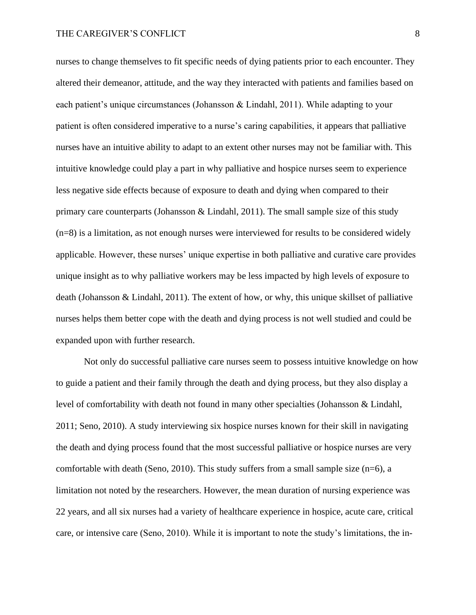nurses to change themselves to fit specific needs of dying patients prior to each encounter. They altered their demeanor, attitude, and the way they interacted with patients and families based on each patient's unique circumstances (Johansson & Lindahl, 2011). While adapting to your patient is often considered imperative to a nurse's caring capabilities, it appears that palliative nurses have an intuitive ability to adapt to an extent other nurses may not be familiar with. This intuitive knowledge could play a part in why palliative and hospice nurses seem to experience less negative side effects because of exposure to death and dying when compared to their primary care counterparts (Johansson & Lindahl, 2011). The small sample size of this study (n=8) is a limitation, as not enough nurses were interviewed for results to be considered widely applicable. However, these nurses' unique expertise in both palliative and curative care provides unique insight as to why palliative workers may be less impacted by high levels of exposure to death (Johansson & Lindahl, 2011). The extent of how, or why, this unique skillset of palliative nurses helps them better cope with the death and dying process is not well studied and could be expanded upon with further research.

Not only do successful palliative care nurses seem to possess intuitive knowledge on how to guide a patient and their family through the death and dying process, but they also display a level of comfortability with death not found in many other specialties (Johansson & Lindahl, 2011; Seno, 2010). A study interviewing six hospice nurses known for their skill in navigating the death and dying process found that the most successful palliative or hospice nurses are very comfortable with death (Seno, 2010). This study suffers from a small sample size  $(n=6)$ , a limitation not noted by the researchers. However, the mean duration of nursing experience was 22 years, and all six nurses had a variety of healthcare experience in hospice, acute care, critical care, or intensive care (Seno, 2010). While it is important to note the study's limitations, the in-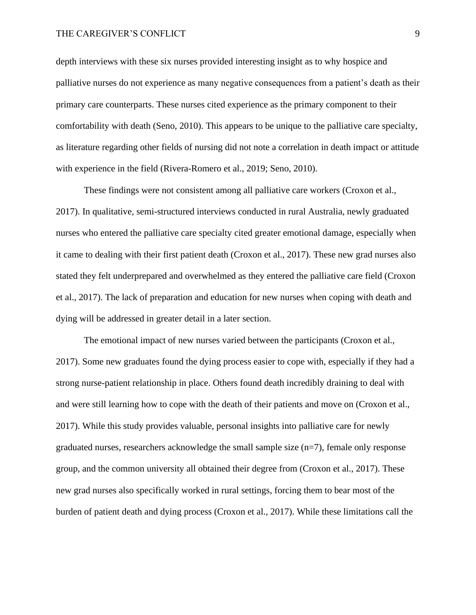## THE CAREGIVER'S CONFLICT 9

depth interviews with these six nurses provided interesting insight as to why hospice and palliative nurses do not experience as many negative consequences from a patient's death as their primary care counterparts. These nurses cited experience as the primary component to their comfortability with death (Seno, 2010). This appears to be unique to the palliative care specialty, as literature regarding other fields of nursing did not note a correlation in death impact or attitude with experience in the field (Rivera-Romero et al., 2019; Seno, 2010).

These findings were not consistent among all palliative care workers (Croxon et al., 2017). In qualitative, semi-structured interviews conducted in rural Australia, newly graduated nurses who entered the palliative care specialty cited greater emotional damage, especially when it came to dealing with their first patient death (Croxon et al., 2017). These new grad nurses also stated they felt underprepared and overwhelmed as they entered the palliative care field (Croxon et al., 2017). The lack of preparation and education for new nurses when coping with death and dying will be addressed in greater detail in a later section.

The emotional impact of new nurses varied between the participants (Croxon et al., 2017). Some new graduates found the dying process easier to cope with, especially if they had a strong nurse-patient relationship in place. Others found death incredibly draining to deal with and were still learning how to cope with the death of their patients and move on (Croxon et al., 2017). While this study provides valuable, personal insights into palliative care for newly graduated nurses, researchers acknowledge the small sample size (n=7), female only response group, and the common university all obtained their degree from (Croxon et al., 2017). These new grad nurses also specifically worked in rural settings, forcing them to bear most of the burden of patient death and dying process (Croxon et al., 2017). While these limitations call the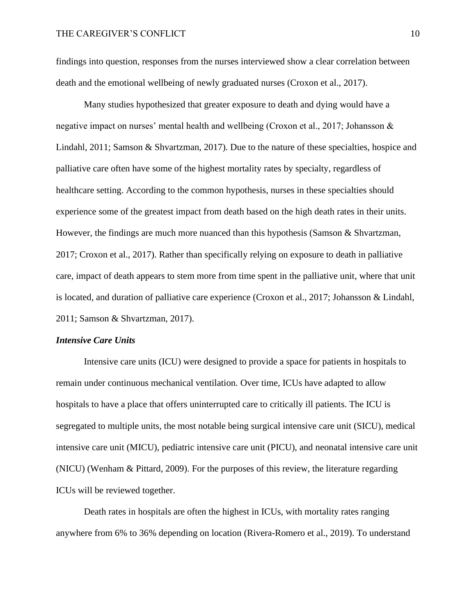findings into question, responses from the nurses interviewed show a clear correlation between death and the emotional wellbeing of newly graduated nurses (Croxon et al., 2017).

Many studies hypothesized that greater exposure to death and dying would have a negative impact on nurses' mental health and wellbeing (Croxon et al., 2017; Johansson & Lindahl, 2011; Samson & Shvartzman, 2017). Due to the nature of these specialties, hospice and palliative care often have some of the highest mortality rates by specialty, regardless of healthcare setting. According to the common hypothesis, nurses in these specialties should experience some of the greatest impact from death based on the high death rates in their units. However, the findings are much more nuanced than this hypothesis (Samson & Shvartzman, 2017; Croxon et al., 2017). Rather than specifically relying on exposure to death in palliative care, impact of death appears to stem more from time spent in the palliative unit, where that unit is located, and duration of palliative care experience (Croxon et al., 2017; Johansson & Lindahl, 2011; Samson & Shvartzman, 2017).

#### *Intensive Care Units*

Intensive care units (ICU) were designed to provide a space for patients in hospitals to remain under continuous mechanical ventilation. Over time, ICUs have adapted to allow hospitals to have a place that offers uninterrupted care to critically ill patients. The ICU is segregated to multiple units, the most notable being surgical intensive care unit (SICU), medical intensive care unit (MICU), pediatric intensive care unit (PICU), and neonatal intensive care unit (NICU) (Wenham & Pittard, 2009). For the purposes of this review, the literature regarding ICUs will be reviewed together.

Death rates in hospitals are often the highest in ICUs, with mortality rates ranging anywhere from 6% to 36% depending on location (Rivera-Romero et al., 2019). To understand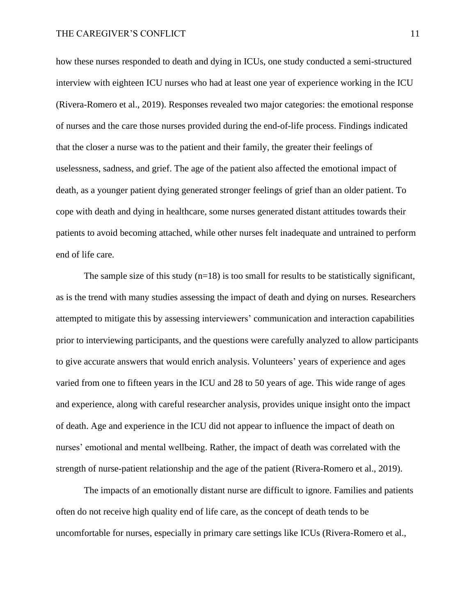how these nurses responded to death and dying in ICUs, one study conducted a semi-structured interview with eighteen ICU nurses who had at least one year of experience working in the ICU (Rivera-Romero et al., 2019). Responses revealed two major categories: the emotional response of nurses and the care those nurses provided during the end-of-life process. Findings indicated that the closer a nurse was to the patient and their family, the greater their feelings of uselessness, sadness, and grief. The age of the patient also affected the emotional impact of death, as a younger patient dying generated stronger feelings of grief than an older patient. To cope with death and dying in healthcare, some nurses generated distant attitudes towards their patients to avoid becoming attached, while other nurses felt inadequate and untrained to perform end of life care.

The sample size of this study  $(n=18)$  is too small for results to be statistically significant, as is the trend with many studies assessing the impact of death and dying on nurses. Researchers attempted to mitigate this by assessing interviewers' communication and interaction capabilities prior to interviewing participants, and the questions were carefully analyzed to allow participants to give accurate answers that would enrich analysis. Volunteers' years of experience and ages varied from one to fifteen years in the ICU and 28 to 50 years of age. This wide range of ages and experience, along with careful researcher analysis, provides unique insight onto the impact of death. Age and experience in the ICU did not appear to influence the impact of death on nurses' emotional and mental wellbeing. Rather, the impact of death was correlated with the strength of nurse-patient relationship and the age of the patient (Rivera-Romero et al., 2019).

The impacts of an emotionally distant nurse are difficult to ignore. Families and patients often do not receive high quality end of life care, as the concept of death tends to be uncomfortable for nurses, especially in primary care settings like ICUs (Rivera-Romero et al.,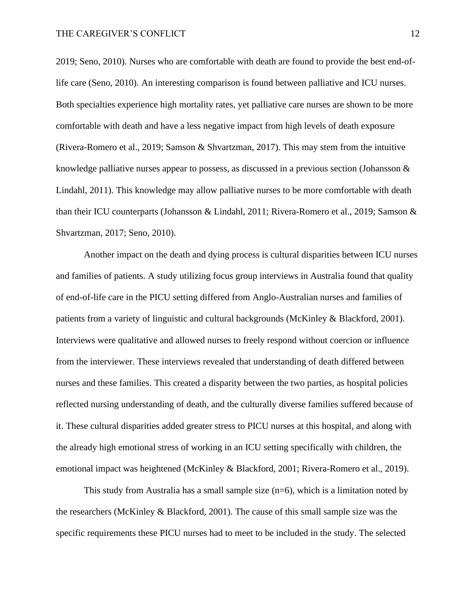2019; Seno, 2010). Nurses who are comfortable with death are found to provide the best end-oflife care (Seno, 2010). An interesting comparison is found between palliative and ICU nurses. Both specialties experience high mortality rates, yet palliative care nurses are shown to be more comfortable with death and have a less negative impact from high levels of death exposure (Rivera-Romero et al., 2019; Samson & Shvartzman, 2017). This may stem from the intuitive knowledge palliative nurses appear to possess, as discussed in a previous section (Johansson  $\&$ Lindahl, 2011). This knowledge may allow palliative nurses to be more comfortable with death than their ICU counterparts (Johansson & Lindahl, 2011; Rivera-Romero et al., 2019; Samson & Shvartzman, 2017; Seno, 2010).

Another impact on the death and dying process is cultural disparities between ICU nurses and families of patients. A study utilizing focus group interviews in Australia found that quality of end-of-life care in the PICU setting differed from Anglo-Australian nurses and families of patients from a variety of linguistic and cultural backgrounds (McKinley & Blackford, 2001). Interviews were qualitative and allowed nurses to freely respond without coercion or influence from the interviewer. These interviews revealed that understanding of death differed between nurses and these families. This created a disparity between the two parties, as hospital policies reflected nursing understanding of death, and the culturally diverse families suffered because of it. These cultural disparities added greater stress to PICU nurses at this hospital, and along with the already high emotional stress of working in an ICU setting specifically with children, the emotional impact was heightened (McKinley & Blackford, 2001; Rivera-Romero et al., 2019).

This study from Australia has a small sample size  $(n=6)$ , which is a limitation noted by the researchers (McKinley & Blackford, 2001). The cause of this small sample size was the specific requirements these PICU nurses had to meet to be included in the study. The selected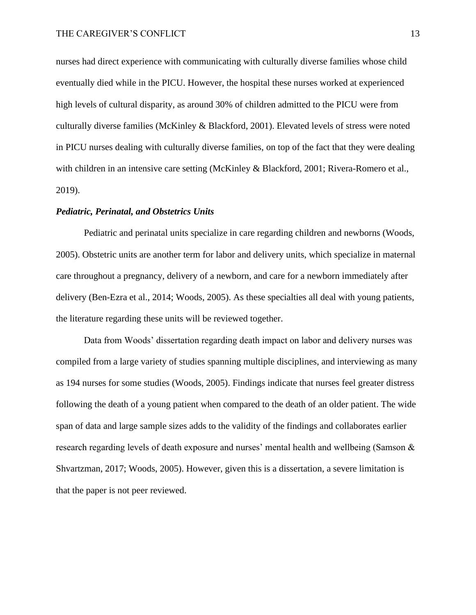nurses had direct experience with communicating with culturally diverse families whose child eventually died while in the PICU. However, the hospital these nurses worked at experienced high levels of cultural disparity, as around 30% of children admitted to the PICU were from culturally diverse families (McKinley & Blackford, 2001). Elevated levels of stress were noted in PICU nurses dealing with culturally diverse families, on top of the fact that they were dealing with children in an intensive care setting (McKinley & Blackford, 2001; Rivera-Romero et al., 2019).

## *Pediatric, Perinatal, and Obstetrics Units*

Pediatric and perinatal units specialize in care regarding children and newborns (Woods, 2005). Obstetric units are another term for labor and delivery units, which specialize in maternal care throughout a pregnancy, delivery of a newborn, and care for a newborn immediately after delivery (Ben-Ezra et al., 2014; Woods, 2005). As these specialties all deal with young patients, the literature regarding these units will be reviewed together.

Data from Woods' dissertation regarding death impact on labor and delivery nurses was compiled from a large variety of studies spanning multiple disciplines, and interviewing as many as 194 nurses for some studies (Woods, 2005). Findings indicate that nurses feel greater distress following the death of a young patient when compared to the death of an older patient. The wide span of data and large sample sizes adds to the validity of the findings and collaborates earlier research regarding levels of death exposure and nurses' mental health and wellbeing (Samson & Shvartzman, 2017; Woods, 2005). However, given this is a dissertation, a severe limitation is that the paper is not peer reviewed.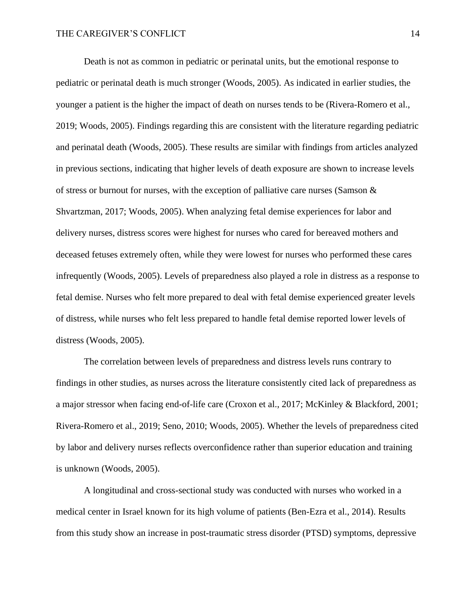Death is not as common in pediatric or perinatal units, but the emotional response to pediatric or perinatal death is much stronger (Woods, 2005). As indicated in earlier studies, the younger a patient is the higher the impact of death on nurses tends to be (Rivera-Romero et al., 2019; Woods, 2005). Findings regarding this are consistent with the literature regarding pediatric and perinatal death (Woods, 2005). These results are similar with findings from articles analyzed in previous sections, indicating that higher levels of death exposure are shown to increase levels of stress or burnout for nurses, with the exception of palliative care nurses (Samson  $\&$ Shvartzman, 2017; Woods, 2005). When analyzing fetal demise experiences for labor and delivery nurses, distress scores were highest for nurses who cared for bereaved mothers and deceased fetuses extremely often, while they were lowest for nurses who performed these cares infrequently (Woods, 2005). Levels of preparedness also played a role in distress as a response to fetal demise. Nurses who felt more prepared to deal with fetal demise experienced greater levels of distress, while nurses who felt less prepared to handle fetal demise reported lower levels of distress (Woods, 2005).

The correlation between levels of preparedness and distress levels runs contrary to findings in other studies, as nurses across the literature consistently cited lack of preparedness as a major stressor when facing end-of-life care (Croxon et al., 2017; McKinley & Blackford, 2001; Rivera-Romero et al., 2019; Seno, 2010; Woods, 2005). Whether the levels of preparedness cited by labor and delivery nurses reflects overconfidence rather than superior education and training is unknown (Woods, 2005).

A longitudinal and cross-sectional study was conducted with nurses who worked in a medical center in Israel known for its high volume of patients (Ben-Ezra et al., 2014). Results from this study show an increase in post-traumatic stress disorder (PTSD) symptoms, depressive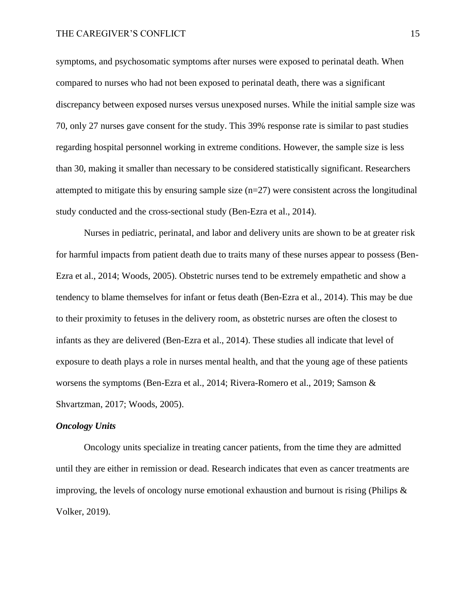symptoms, and psychosomatic symptoms after nurses were exposed to perinatal death. When compared to nurses who had not been exposed to perinatal death, there was a significant discrepancy between exposed nurses versus unexposed nurses. While the initial sample size was 70, only 27 nurses gave consent for the study. This 39% response rate is similar to past studies regarding hospital personnel working in extreme conditions. However, the sample size is less than 30, making it smaller than necessary to be considered statistically significant. Researchers attempted to mitigate this by ensuring sample size  $(n=27)$  were consistent across the longitudinal study conducted and the cross-sectional study (Ben-Ezra et al., 2014).

Nurses in pediatric, perinatal, and labor and delivery units are shown to be at greater risk for harmful impacts from patient death due to traits many of these nurses appear to possess (Ben-Ezra et al., 2014; Woods, 2005). Obstetric nurses tend to be extremely empathetic and show a tendency to blame themselves for infant or fetus death (Ben-Ezra et al., 2014). This may be due to their proximity to fetuses in the delivery room, as obstetric nurses are often the closest to infants as they are delivered (Ben-Ezra et al., 2014). These studies all indicate that level of exposure to death plays a role in nurses mental health, and that the young age of these patients worsens the symptoms (Ben-Ezra et al., 2014; Rivera-Romero et al., 2019; Samson & Shvartzman, 2017; Woods, 2005).

## *Oncology Units*

Oncology units specialize in treating cancer patients, from the time they are admitted until they are either in remission or dead. Research indicates that even as cancer treatments are improving, the levels of oncology nurse emotional exhaustion and burnout is rising (Philips  $\&$ Volker, 2019).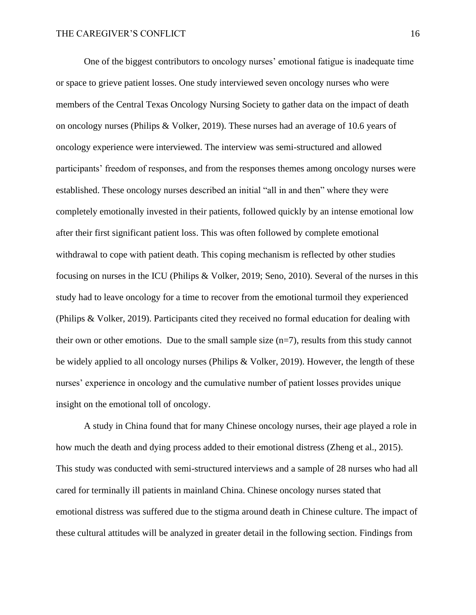One of the biggest contributors to oncology nurses' emotional fatigue is inadequate time or space to grieve patient losses. One study interviewed seven oncology nurses who were members of the Central Texas Oncology Nursing Society to gather data on the impact of death on oncology nurses (Philips & Volker, 2019). These nurses had an average of 10.6 years of oncology experience were interviewed. The interview was semi-structured and allowed participants' freedom of responses, and from the responses themes among oncology nurses were established. These oncology nurses described an initial "all in and then" where they were completely emotionally invested in their patients, followed quickly by an intense emotional low after their first significant patient loss. This was often followed by complete emotional withdrawal to cope with patient death. This coping mechanism is reflected by other studies focusing on nurses in the ICU (Philips & Volker, 2019; Seno, 2010). Several of the nurses in this study had to leave oncology for a time to recover from the emotional turmoil they experienced (Philips & Volker, 2019). Participants cited they received no formal education for dealing with their own or other emotions. Due to the small sample size  $(n=7)$ , results from this study cannot be widely applied to all oncology nurses (Philips & Volker, 2019). However, the length of these nurses' experience in oncology and the cumulative number of patient losses provides unique insight on the emotional toll of oncology.

A study in China found that for many Chinese oncology nurses, their age played a role in how much the death and dying process added to their emotional distress (Zheng et al., 2015). This study was conducted with semi-structured interviews and a sample of 28 nurses who had all cared for terminally ill patients in mainland China. Chinese oncology nurses stated that emotional distress was suffered due to the stigma around death in Chinese culture. The impact of these cultural attitudes will be analyzed in greater detail in the following section. Findings from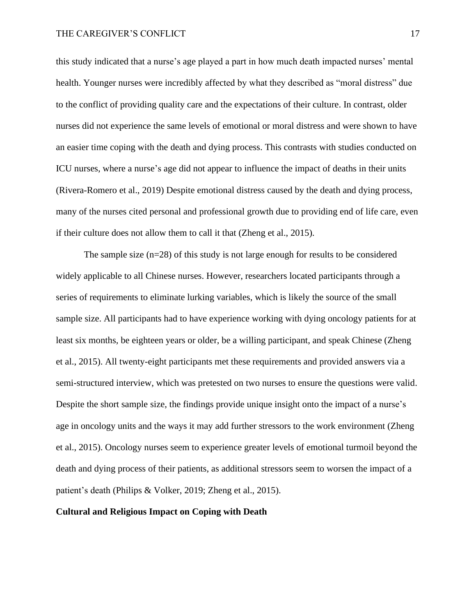this study indicated that a nurse's age played a part in how much death impacted nurses' mental health. Younger nurses were incredibly affected by what they described as "moral distress" due to the conflict of providing quality care and the expectations of their culture. In contrast, older nurses did not experience the same levels of emotional or moral distress and were shown to have an easier time coping with the death and dying process. This contrasts with studies conducted on ICU nurses, where a nurse's age did not appear to influence the impact of deaths in their units (Rivera-Romero et al., 2019) Despite emotional distress caused by the death and dying process, many of the nurses cited personal and professional growth due to providing end of life care, even if their culture does not allow them to call it that (Zheng et al., 2015).

The sample size (n=28) of this study is not large enough for results to be considered widely applicable to all Chinese nurses. However, researchers located participants through a series of requirements to eliminate lurking variables, which is likely the source of the small sample size. All participants had to have experience working with dying oncology patients for at least six months, be eighteen years or older, be a willing participant, and speak Chinese (Zheng et al., 2015). All twenty-eight participants met these requirements and provided answers via a semi-structured interview, which was pretested on two nurses to ensure the questions were valid. Despite the short sample size, the findings provide unique insight onto the impact of a nurse's age in oncology units and the ways it may add further stressors to the work environment (Zheng et al., 2015). Oncology nurses seem to experience greater levels of emotional turmoil beyond the death and dying process of their patients, as additional stressors seem to worsen the impact of a patient's death (Philips & Volker, 2019; Zheng et al., 2015).

## **Cultural and Religious Impact on Coping with Death**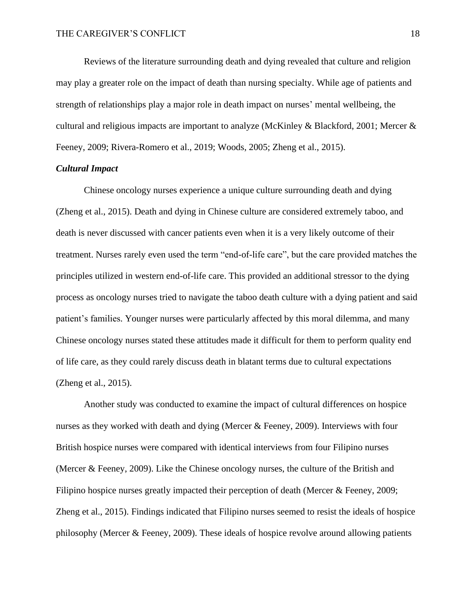Reviews of the literature surrounding death and dying revealed that culture and religion may play a greater role on the impact of death than nursing specialty. While age of patients and strength of relationships play a major role in death impact on nurses' mental wellbeing, the cultural and religious impacts are important to analyze (McKinley & Blackford, 2001; Mercer & Feeney, 2009; Rivera-Romero et al., 2019; Woods, 2005; Zheng et al., 2015).

## *Cultural Impact*

Chinese oncology nurses experience a unique culture surrounding death and dying (Zheng et al., 2015). Death and dying in Chinese culture are considered extremely taboo, and death is never discussed with cancer patients even when it is a very likely outcome of their treatment. Nurses rarely even used the term "end-of-life care", but the care provided matches the principles utilized in western end-of-life care. This provided an additional stressor to the dying process as oncology nurses tried to navigate the taboo death culture with a dying patient and said patient's families. Younger nurses were particularly affected by this moral dilemma, and many Chinese oncology nurses stated these attitudes made it difficult for them to perform quality end of life care, as they could rarely discuss death in blatant terms due to cultural expectations (Zheng et al., 2015).

Another study was conducted to examine the impact of cultural differences on hospice nurses as they worked with death and dying (Mercer & Feeney, 2009). Interviews with four British hospice nurses were compared with identical interviews from four Filipino nurses (Mercer & Feeney, 2009). Like the Chinese oncology nurses, the culture of the British and Filipino hospice nurses greatly impacted their perception of death (Mercer & Feeney, 2009; Zheng et al., 2015). Findings indicated that Filipino nurses seemed to resist the ideals of hospice philosophy (Mercer & Feeney, 2009). These ideals of hospice revolve around allowing patients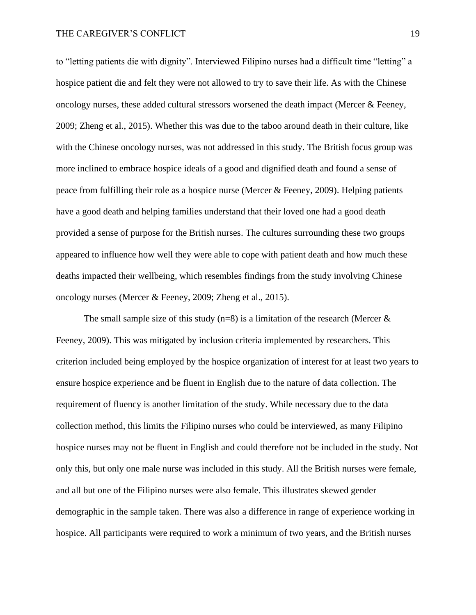to "letting patients die with dignity". Interviewed Filipino nurses had a difficult time "letting" a hospice patient die and felt they were not allowed to try to save their life. As with the Chinese oncology nurses, these added cultural stressors worsened the death impact (Mercer & Feeney, 2009; Zheng et al., 2015). Whether this was due to the taboo around death in their culture, like with the Chinese oncology nurses, was not addressed in this study. The British focus group was more inclined to embrace hospice ideals of a good and dignified death and found a sense of peace from fulfilling their role as a hospice nurse (Mercer & Feeney, 2009). Helping patients have a good death and helping families understand that their loved one had a good death provided a sense of purpose for the British nurses. The cultures surrounding these two groups appeared to influence how well they were able to cope with patient death and how much these deaths impacted their wellbeing, which resembles findings from the study involving Chinese oncology nurses (Mercer & Feeney, 2009; Zheng et al., 2015).

The small sample size of this study  $(n=8)$  is a limitation of the research (Mercer  $\&$ Feeney, 2009). This was mitigated by inclusion criteria implemented by researchers. This criterion included being employed by the hospice organization of interest for at least two years to ensure hospice experience and be fluent in English due to the nature of data collection. The requirement of fluency is another limitation of the study. While necessary due to the data collection method, this limits the Filipino nurses who could be interviewed, as many Filipino hospice nurses may not be fluent in English and could therefore not be included in the study. Not only this, but only one male nurse was included in this study. All the British nurses were female, and all but one of the Filipino nurses were also female. This illustrates skewed gender demographic in the sample taken. There was also a difference in range of experience working in hospice. All participants were required to work a minimum of two years, and the British nurses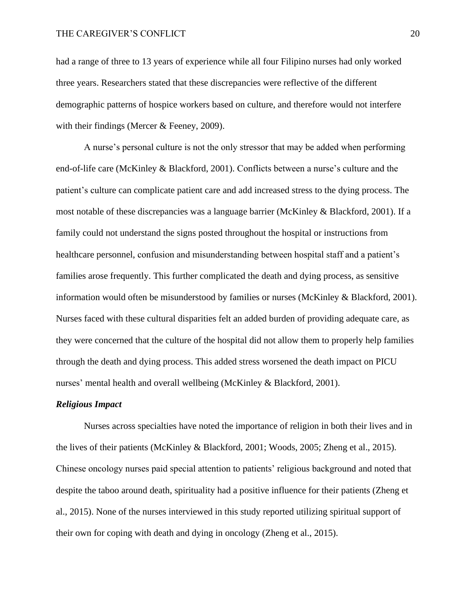had a range of three to 13 years of experience while all four Filipino nurses had only worked three years. Researchers stated that these discrepancies were reflective of the different demographic patterns of hospice workers based on culture, and therefore would not interfere with their findings (Mercer & Feeney, 2009).

A nurse's personal culture is not the only stressor that may be added when performing end-of-life care (McKinley & Blackford, 2001). Conflicts between a nurse's culture and the patient's culture can complicate patient care and add increased stress to the dying process. The most notable of these discrepancies was a language barrier (McKinley & Blackford, 2001). If a family could not understand the signs posted throughout the hospital or instructions from healthcare personnel, confusion and misunderstanding between hospital staff and a patient's families arose frequently. This further complicated the death and dying process, as sensitive information would often be misunderstood by families or nurses (McKinley & Blackford, 2001). Nurses faced with these cultural disparities felt an added burden of providing adequate care, as they were concerned that the culture of the hospital did not allow them to properly help families through the death and dying process. This added stress worsened the death impact on PICU nurses' mental health and overall wellbeing (McKinley & Blackford, 2001).

## *Religious Impact*

Nurses across specialties have noted the importance of religion in both their lives and in the lives of their patients (McKinley & Blackford, 2001; Woods, 2005; Zheng et al., 2015). Chinese oncology nurses paid special attention to patients' religious background and noted that despite the taboo around death, spirituality had a positive influence for their patients (Zheng et al., 2015). None of the nurses interviewed in this study reported utilizing spiritual support of their own for coping with death and dying in oncology (Zheng et al., 2015).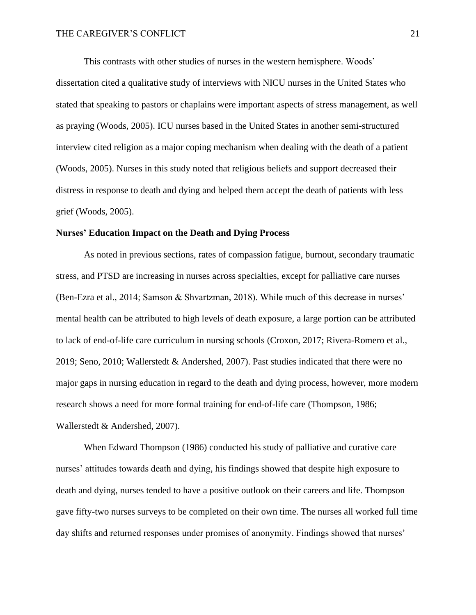This contrasts with other studies of nurses in the western hemisphere. Woods' dissertation cited a qualitative study of interviews with NICU nurses in the United States who stated that speaking to pastors or chaplains were important aspects of stress management, as well as praying (Woods, 2005). ICU nurses based in the United States in another semi-structured interview cited religion as a major coping mechanism when dealing with the death of a patient (Woods, 2005). Nurses in this study noted that religious beliefs and support decreased their distress in response to death and dying and helped them accept the death of patients with less grief (Woods, 2005).

## **Nurses' Education Impact on the Death and Dying Process**

As noted in previous sections, rates of compassion fatigue, burnout, secondary traumatic stress, and PTSD are increasing in nurses across specialties, except for palliative care nurses (Ben-Ezra et al., 2014; Samson & Shvartzman, 2018). While much of this decrease in nurses' mental health can be attributed to high levels of death exposure, a large portion can be attributed to lack of end-of-life care curriculum in nursing schools (Croxon, 2017; Rivera-Romero et al., 2019; Seno, 2010; Wallerstedt & Andershed, 2007). Past studies indicated that there were no major gaps in nursing education in regard to the death and dying process, however, more modern research shows a need for more formal training for end-of-life care (Thompson, 1986; Wallerstedt & Andershed, 2007).

When Edward Thompson (1986) conducted his study of palliative and curative care nurses' attitudes towards death and dying, his findings showed that despite high exposure to death and dying, nurses tended to have a positive outlook on their careers and life. Thompson gave fifty-two nurses surveys to be completed on their own time. The nurses all worked full time day shifts and returned responses under promises of anonymity. Findings showed that nurses'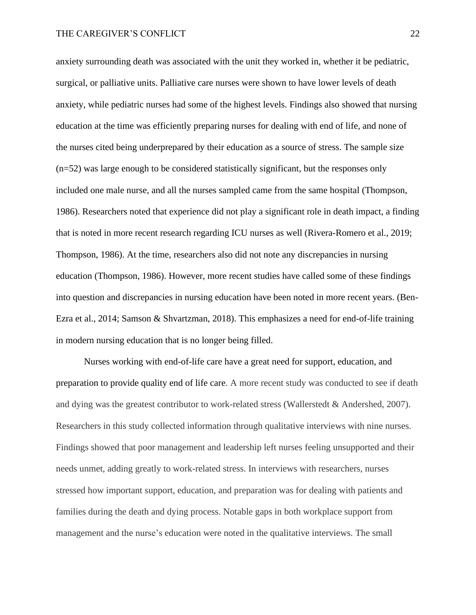anxiety surrounding death was associated with the unit they worked in, whether it be pediatric, surgical, or palliative units. Palliative care nurses were shown to have lower levels of death anxiety, while pediatric nurses had some of the highest levels. Findings also showed that nursing education at the time was efficiently preparing nurses for dealing with end of life, and none of the nurses cited being underprepared by their education as a source of stress. The sample size (n=52) was large enough to be considered statistically significant, but the responses only included one male nurse, and all the nurses sampled came from the same hospital (Thompson, 1986). Researchers noted that experience did not play a significant role in death impact, a finding that is noted in more recent research regarding ICU nurses as well (Rivera-Romero et al., 2019; Thompson, 1986). At the time, researchers also did not note any discrepancies in nursing education (Thompson, 1986). However, more recent studies have called some of these findings into question and discrepancies in nursing education have been noted in more recent years. (Ben-Ezra et al., 2014; Samson & Shvartzman, 2018). This emphasizes a need for end-of-life training in modern nursing education that is no longer being filled.

Nurses working with end-of-life care have a great need for support, education, and preparation to provide quality end of life care. A more recent study was conducted to see if death and dying was the greatest contributor to work-related stress (Wallerstedt & Andershed, 2007). Researchers in this study collected information through qualitative interviews with nine nurses. Findings showed that poor management and leadership left nurses feeling unsupported and their needs unmet, adding greatly to work-related stress. In interviews with researchers, nurses stressed how important support, education, and preparation was for dealing with patients and families during the death and dying process. Notable gaps in both workplace support from management and the nurse's education were noted in the qualitative interviews. The small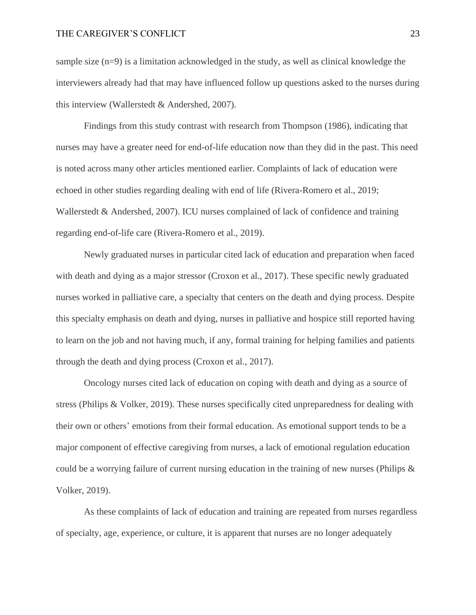## THE CAREGIVER'S CONFLICT 23

sample size  $(n=9)$  is a limitation acknowledged in the study, as well as clinical knowledge the interviewers already had that may have influenced follow up questions asked to the nurses during this interview (Wallerstedt & Andershed, 2007).

Findings from this study contrast with research from Thompson (1986), indicating that nurses may have a greater need for end-of-life education now than they did in the past. This need is noted across many other articles mentioned earlier. Complaints of lack of education were echoed in other studies regarding dealing with end of life (Rivera-Romero et al., 2019; Wallerstedt & Andershed, 2007). ICU nurses complained of lack of confidence and training regarding end-of-life care (Rivera-Romero et al., 2019).

Newly graduated nurses in particular cited lack of education and preparation when faced with death and dying as a major stressor (Croxon et al., 2017). These specific newly graduated nurses worked in palliative care, a specialty that centers on the death and dying process. Despite this specialty emphasis on death and dying, nurses in palliative and hospice still reported having to learn on the job and not having much, if any, formal training for helping families and patients through the death and dying process (Croxon et al., 2017).

Oncology nurses cited lack of education on coping with death and dying as a source of stress (Philips & Volker, 2019). These nurses specifically cited unpreparedness for dealing with their own or others' emotions from their formal education. As emotional support tends to be a major component of effective caregiving from nurses, a lack of emotional regulation education could be a worrying failure of current nursing education in the training of new nurses (Philips & Volker, 2019).

As these complaints of lack of education and training are repeated from nurses regardless of specialty, age, experience, or culture, it is apparent that nurses are no longer adequately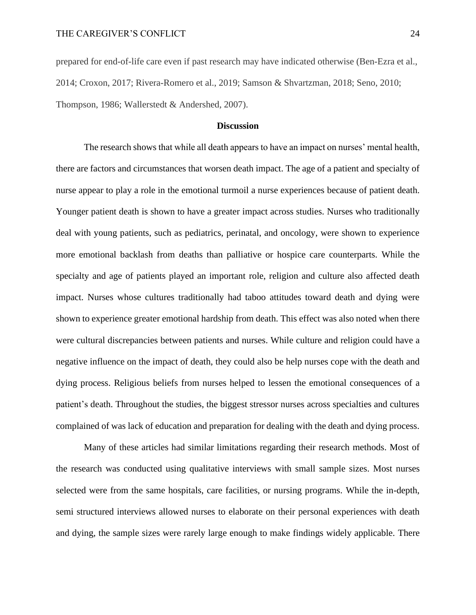prepared for end-of-life care even if past research may have indicated otherwise (Ben-Ezra et al., 2014; Croxon, 2017; Rivera-Romero et al., 2019; Samson & Shvartzman, 2018; Seno, 2010; Thompson, 1986; Wallerstedt & Andershed, 2007).

## **Discussion**

The research shows that while all death appears to have an impact on nurses' mental health, there are factors and circumstances that worsen death impact. The age of a patient and specialty of nurse appear to play a role in the emotional turmoil a nurse experiences because of patient death. Younger patient death is shown to have a greater impact across studies. Nurses who traditionally deal with young patients, such as pediatrics, perinatal, and oncology, were shown to experience more emotional backlash from deaths than palliative or hospice care counterparts. While the specialty and age of patients played an important role, religion and culture also affected death impact. Nurses whose cultures traditionally had taboo attitudes toward death and dying were shown to experience greater emotional hardship from death. This effect was also noted when there were cultural discrepancies between patients and nurses. While culture and religion could have a negative influence on the impact of death, they could also be help nurses cope with the death and dying process. Religious beliefs from nurses helped to lessen the emotional consequences of a patient's death. Throughout the studies, the biggest stressor nurses across specialties and cultures complained of was lack of education and preparation for dealing with the death and dying process.

Many of these articles had similar limitations regarding their research methods. Most of the research was conducted using qualitative interviews with small sample sizes. Most nurses selected were from the same hospitals, care facilities, or nursing programs. While the in-depth, semi structured interviews allowed nurses to elaborate on their personal experiences with death and dying, the sample sizes were rarely large enough to make findings widely applicable. There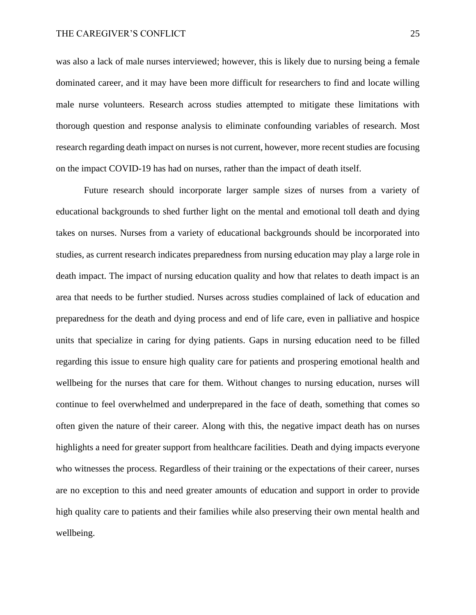was also a lack of male nurses interviewed; however, this is likely due to nursing being a female dominated career, and it may have been more difficult for researchers to find and locate willing male nurse volunteers. Research across studies attempted to mitigate these limitations with thorough question and response analysis to eliminate confounding variables of research. Most research regarding death impact on nurses is not current, however, more recent studies are focusing on the impact COVID-19 has had on nurses, rather than the impact of death itself.

Future research should incorporate larger sample sizes of nurses from a variety of educational backgrounds to shed further light on the mental and emotional toll death and dying takes on nurses. Nurses from a variety of educational backgrounds should be incorporated into studies, as current research indicates preparedness from nursing education may play a large role in death impact. The impact of nursing education quality and how that relates to death impact is an area that needs to be further studied. Nurses across studies complained of lack of education and preparedness for the death and dying process and end of life care, even in palliative and hospice units that specialize in caring for dying patients. Gaps in nursing education need to be filled regarding this issue to ensure high quality care for patients and prospering emotional health and wellbeing for the nurses that care for them. Without changes to nursing education, nurses will continue to feel overwhelmed and underprepared in the face of death, something that comes so often given the nature of their career. Along with this, the negative impact death has on nurses highlights a need for greater support from healthcare facilities. Death and dying impacts everyone who witnesses the process. Regardless of their training or the expectations of their career, nurses are no exception to this and need greater amounts of education and support in order to provide high quality care to patients and their families while also preserving their own mental health and wellbeing.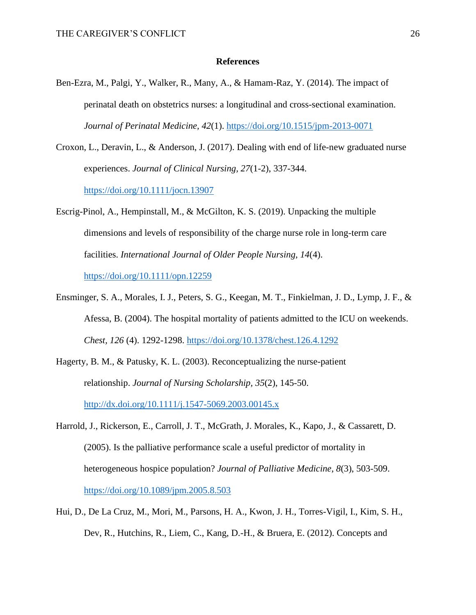## **References**

- Ben-Ezra, M., Palgi, Y., Walker, R., Many, A., & Hamam-Raz, Y. (2014). The impact of perinatal death on obstetrics nurses: a longitudinal and cross-sectional examination. *Journal of Perinatal Medicine, 42*(1).<https://doi.org/10.1515/jpm-2013-0071>
- Croxon, L., Deravin, L., & Anderson, J. (2017). Dealing with end of life-new graduated nurse experiences. *Journal of Clinical Nursing, 27*(1-2), 337-344. <https://doi.org/10.1111/jocn.13907>

Escrig-Pinol, A., Hempinstall, M., & McGilton, K. S. (2019). Unpacking the multiple dimensions and levels of responsibility of the charge nurse role in long-term care facilities. *International Journal of Older People Nursing, 14*(4). <https://doi.org/10.1111/opn.12259>

- Ensminger, S. A., Morales, I. J., Peters, S. G., Keegan, M. T., Finkielman, J. D., Lymp, J. F., & Afessa, B. (2004). The hospital mortality of patients admitted to the ICU on weekends. *Chest, 126* (4). 1292-1298.<https://doi.org/10.1378/chest.126.4.1292>
- Hagerty, B. M., & Patusky, K. L. (2003). Reconceptualizing the nurse-patient relationship. *Journal of Nursing Scholarship, 35*(2), 145-50. <http://dx.doi.org/10.1111/j.1547-5069.2003.00145.x>
- Harrold, J., Rickerson, E., Carroll, J. T., McGrath, J. Morales, K., Kapo, J., & Cassarett, D. (2005). Is the palliative performance scale a useful predictor of mortality in heterogeneous hospice population? *Journal of Palliative Medicine, 8*(3), 503-509. <https://doi.org/10.1089/jpm.2005.8.503>
- Hui, D., De La Cruz, M., Mori, M., Parsons, H. A., Kwon, J. H., Torres-Vigil, I., Kim, S. H., Dev, R., Hutchins, R., Liem, C., Kang, D.-H., & Bruera, E. (2012). Concepts and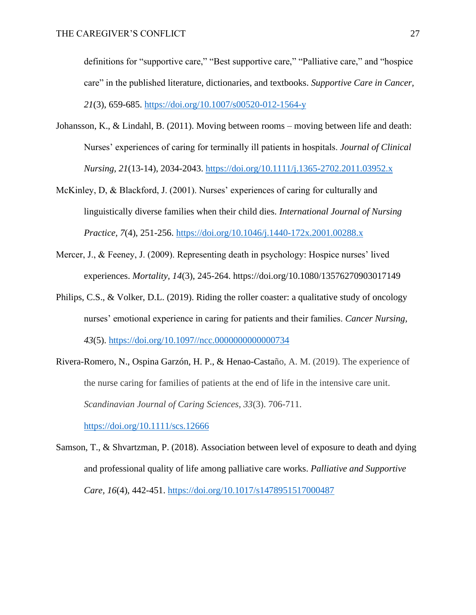definitions for "supportive care," "Best supportive care," "Palliative care," and "hospice care" in the published literature, dictionaries, and textbooks. *Supportive Care in Cancer, 21*(3), 659-685.<https://doi.org/10.1007/s00520-012-1564-y>

- Johansson, K., & Lindahl, B. (2011). Moving between rooms moving between life and death: Nurses' experiences of caring for terminally ill patients in hospitals. *Journal of Clinical Nursing, 21*(13-14), 2034-2043.<https://doi.org/10.1111/j.1365-2702.2011.03952.x>
- McKinley, D, & Blackford, J. (2001). Nurses' experiences of caring for culturally and linguistically diverse families when their child dies. *International Journal of Nursing Practice, 7*(4), 251-256.<https://doi.org/10.1046/j.1440-172x.2001.00288.x>
- Mercer, J., & Feeney, J. (2009). Representing death in psychology: Hospice nurses' lived experiences. *Mortality, 14*(3), 245-264. https://doi.org/10.1080/13576270903017149
- Philips, C.S., & Volker, D.L. (2019). Riding the roller coaster: a qualitative study of oncology nurses' emotional experience in caring for patients and their families. *Cancer Nursing, 43*(5). [https://doi.org/1](https://doi.org/)0.1097//ncc.0000000000000734
- Rivera-Romero, N., Ospina Garzón, H. P., & Henao-Castaño, A. M. (2019). The experience of the nurse caring for families of patients at the end of life in the intensive care unit. *Scandinavian Journal of Caring Sciences, 33*(3). 706-711.

<https://doi.org/10.1111/scs.12666>

Samson, T., & Shvartzman, P. (2018). Association between level of exposure to death and dying and professional quality of life among palliative care works. *Palliative and Supportive Care, 16*(4), 442-451.<https://doi.org/10.1017/s1478951517000487>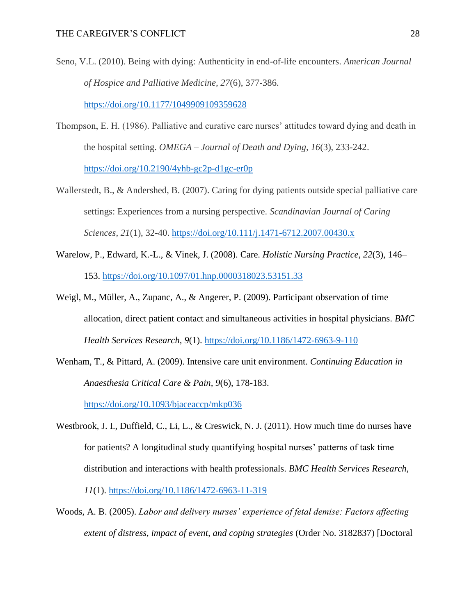Seno, V.L. (2010). Being with dying: Authenticity in end-of-life encounters. *American Journal of Hospice and Palliative Medicine, 27*(6), 377-386.

<https://doi.org/10.1177/1049909109359628>

- Thompson, E. H. (1986). Palliative and curative care nurses' attitudes toward dying and death in the hospital setting. *OMEGA – Journal of Death and Dying, 16*(3), 233-242. <https://doi.org/10.2190/4yhb-gc2p-d1gc-er0p>
- Wallerstedt, B., & Andershed, B. (2007). Caring for dying patients outside special palliative care settings: Experiences from a nursing perspective. *Scandinavian Journal of Caring Sciences, 21*(1), 32-40.<https://doi.org/10.111/j.1471-6712.2007.00430.x>
- Warelow, P., Edward, K.-L., & Vinek, J. (2008). Care. *Holistic Nursing Practice*, *22*(3), 146– 153.<https://doi.org/10.1097/01.hnp.0000318023.53151.33>
- Weigl, M., Müller, A., Zupanc, A., & Angerer, P. (2009). Participant observation of time allocation, direct patient contact and simultaneous activities in hospital physicians. *BMC Health Services Research, 9*(1).<https://doi.org/10.1186/1472-6963-9-110>
- Wenham, T., & Pittard, A. (2009). Intensive care unit environment. *Continuing Education in Anaesthesia Critical Care & Pain, 9*(6), 178-183.

<https://doi.org/10.1093/bjaceaccp/mkp036>

- Westbrook, J. I., Duffield, C., Li, L., & Creswick, N. J. (2011). How much time do nurses have for patients? A longitudinal study quantifying hospital nurses' patterns of task time distribution and interactions with health professionals. *BMC Health Services Research, 11*(1).<https://doi.org/10.1186/1472-6963-11-319>
- Woods, A. B. (2005). *Labor and delivery nurses' experience of fetal demise: Factors affecting extent of distress, impact of event, and coping strategies* (Order No. 3182837) [Doctoral